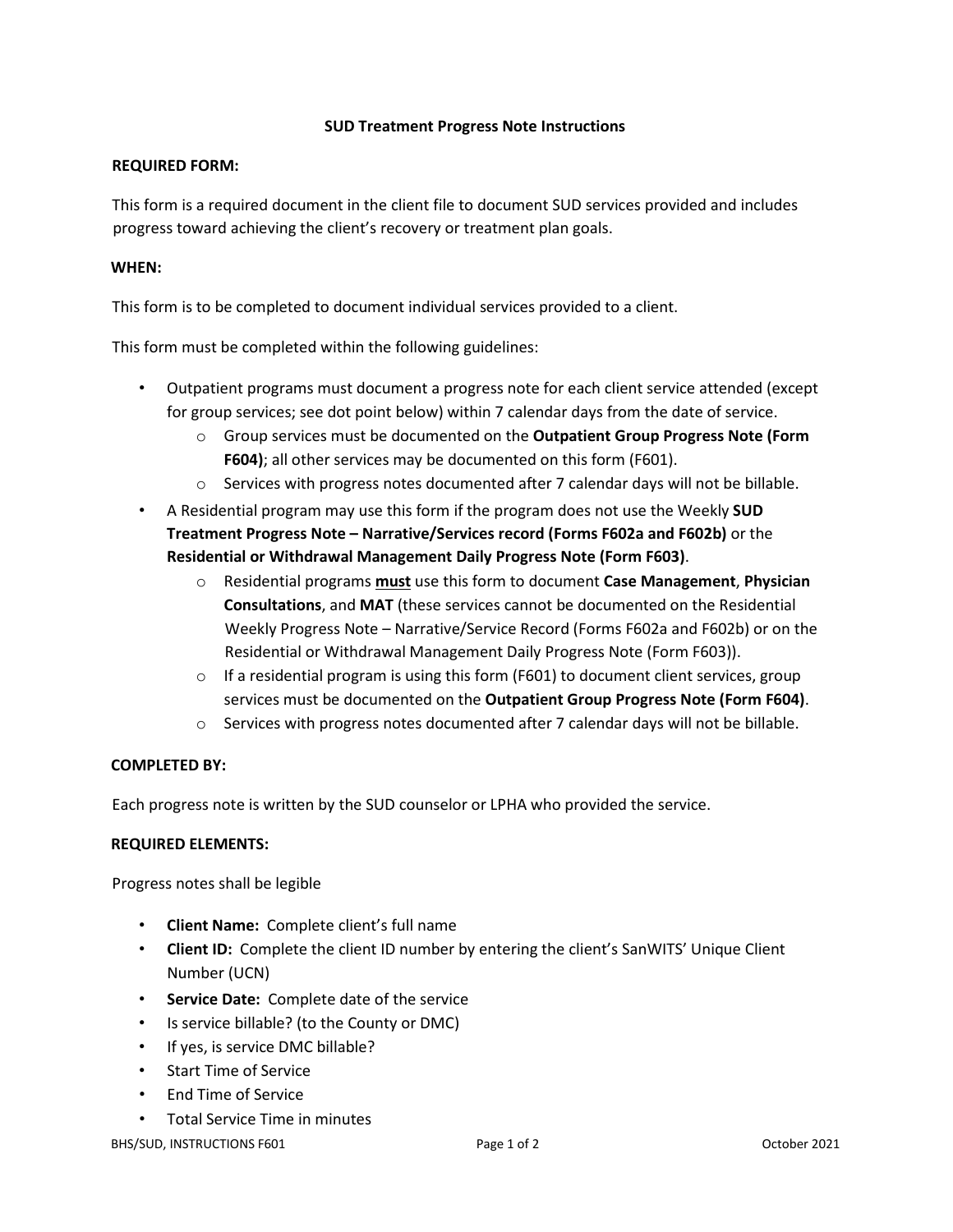## **SUD Treatment Progress Note Instructions**

## **REQUIRED FORM:**

This form is a required document in the client file to document SUD services provided and includes progress toward achieving the client's recovery or treatment plan goals.

## **WHEN:**

This form is to be completed to document individual services provided to a client.

This form must be completed within the following guidelines:

- Outpatient programs must document a progress note for each client service attended (except for group services; see dot point below) within 7 calendar days from the date of service.
	- o Group services must be documented on the **Outpatient Group Progress Note (Form F604)**; all other services may be documented on this form (F601).
	- $\circ$  Services with progress notes documented after 7 calendar days will not be billable.
- A Residential program may use this form if the program does not use the Weekly **SUD Treatment Progress Note – Narrative/Services record (Forms F602a and F602b)** or the **Residential or Withdrawal Management Daily Progress Note (Form F603)**.
	- o Residential programs **must** use this form to document **Case Management**, **Physician Consultations**, and **MAT** (these services cannot be documented on the Residential Weekly Progress Note – Narrative/Service Record (Forms F602a and F602b) or on the Residential or Withdrawal Management Daily Progress Note (Form F603)).
	- $\circ$  If a residential program is using this form (F601) to document client services, group services must be documented on the **Outpatient Group Progress Note (Form F604)**.
	- $\circ$  Services with progress notes documented after 7 calendar days will not be billable.

# **COMPLETED BY:**

Each progress note is written by the SUD counselor or LPHA who provided the service.

#### **REQUIRED ELEMENTS:**

Progress notes shall be legible

- **Client Name:** Complete client's full name
- **Client ID:** Complete the client ID number by entering the client's SanWITS' Unique Client Number (UCN)
- **Service Date:** Complete date of the service
- Is service billable? (to the County or DMC)
- If yes, is service DMC billable?
- Start Time of Service
- End Time of Service
- Total Service Time in minutes